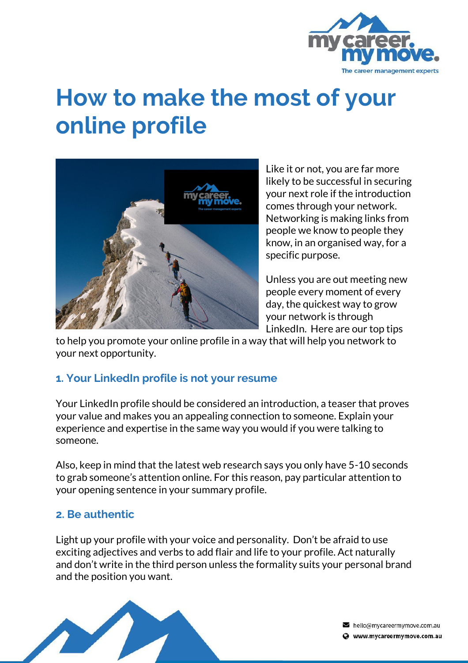

# **How to make the most of your online profile**



Like it or not, you are far more likely to be successful in securing your next role if the introduction comes through your network. Networking is making links from people we know to people they know, in an organised way, for a specific purpose.

Unless you are out meeting new people every moment of every day, the quickest way to grow your network is through LinkedIn. Here are our top tips

to help you promote your online profile in a way that will help you network to your next opportunity.

# **1. Your LinkedIn profile is not your resume**

Your LinkedIn profile should be considered an introduction, a teaser that proves your value and makes you an appealing connection to someone. Explain your experience and expertise in the same way you would if you were talking to someone.

Also, keep in mind that the latest web research says you only have 5-10 seconds to grab someone's attention online. For this reason, pay particular attention to your opening sentence in your summary profile.

#### **2. Be authentic**

Light up your profile with your voice and personality. Don't be afraid to use exciting adjectives and verbs to add flair and life to your profile. Act naturally and don't write in the third person unless the formality suits your personal brand and the position you want.



hello@mycareermymove.com.au Www.mycareermymove.com.au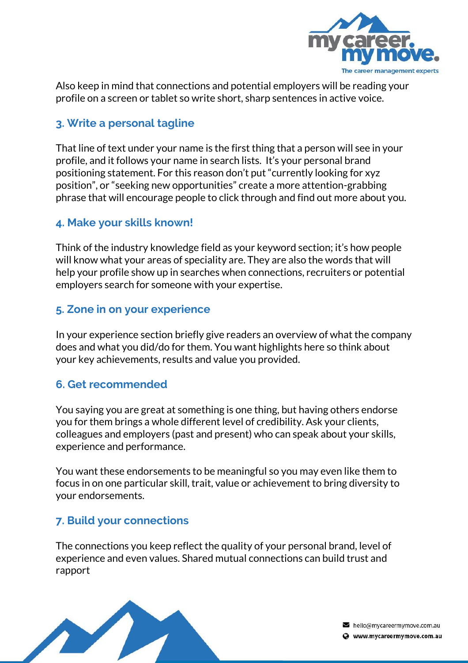

Also keep in mind that connections and potential employers will be reading your profile on a screen or tablet so write short, sharp sentences in active voice.

## **3. Write a personal tagline**

That line of text under your name is the first thing that a person will see in your profile, and it follows your name in search lists. It's your personal brand positioning statement. For this reason don't put "currently looking for xyz position", or "seeking new opportunities" create a more attention-grabbing phrase that will encourage people to click through and find out more about you.

#### **4. Make your skills known!**

Think of the industry knowledge field as your keyword section; it's how people will know what your areas of speciality are. They are also the words that will help your profile show up in searches when connections, recruiters or potential employers search for someone with your expertise.

#### **5. Zone in on your experience**

In your experience section briefly give readers an overview of what the company does and what you did/do for them. You want highlights here so think about your key achievements, results and value you provided.

#### **6. Get recommended**

You saying you are great at something is one thing, but having others endorse you for them brings a whole different level of credibility. Ask your clients, colleagues and employers (past and present) who can speak about your skills, experience and performance.

You want these endorsements to be meaningful so you may even like them to focus in on one particular skill, trait, value or achievement to bring diversity to your endorsements.

#### **7. Build your connections**

The connections you keep reflect the quality of your personal brand, level of experience and even values. Shared mutual connections can build trust and rapport



hello@mycareermymove.com.au Www.mycareermymove.com.au